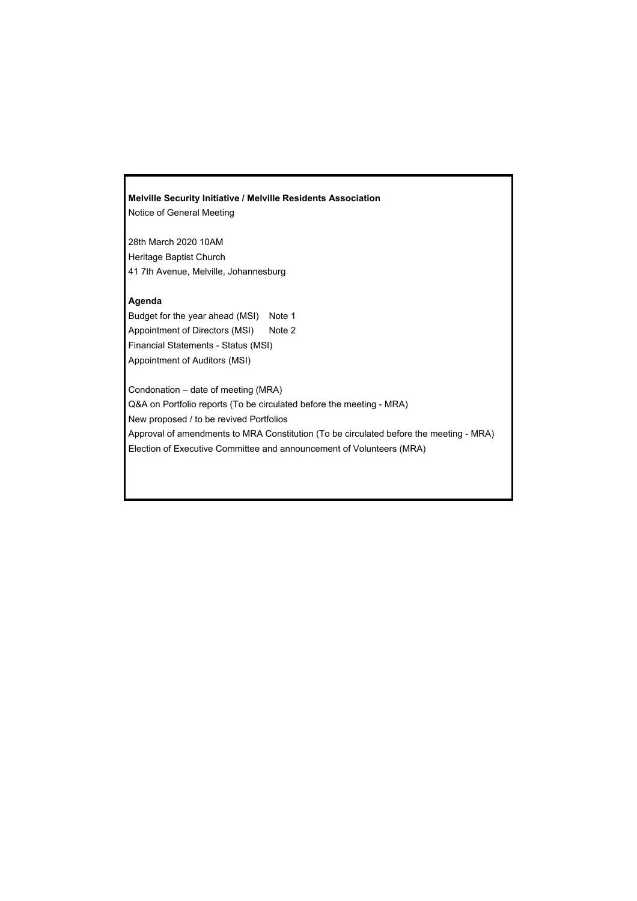# **Melville Security Initiative / Melville Residents Association**

Notice of General Meeting

28th March 2020 10AM Heritage Baptist Church 41 7th Avenue, Melville, Johannesburg

### **Agenda**

Budget for the year ahead (MSI) Note 1 Appointment of Directors (MSI) Note 2 Financial Statements - Status (MSI) Appointment of Auditors (MSI)

Condonation – date of meeting (MRA) Q&A on Portfolio reports (To be circulated before the meeting - MRA) New proposed / to be revived Portfolios Approval of amendments to MRA Constitution (To be circulated before the meeting - MRA) Election of Executive Committee and announcement of Volunteers (MRA)